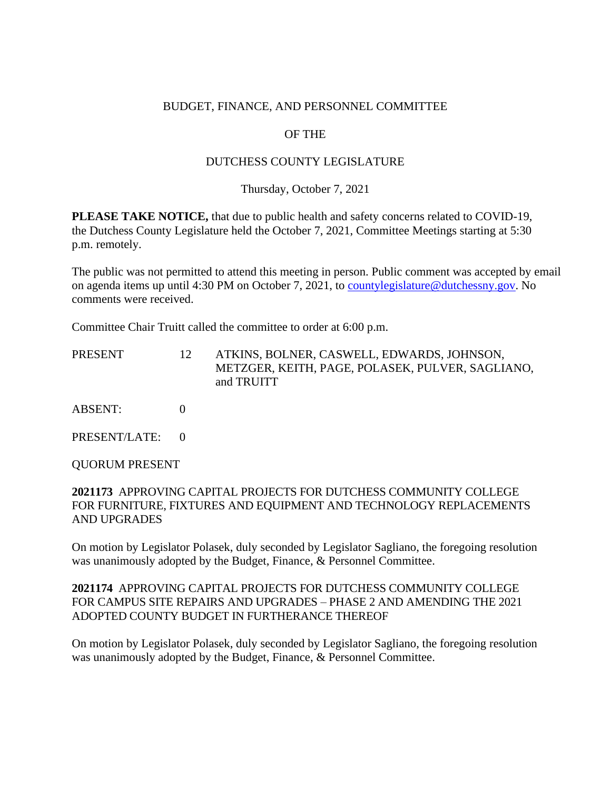#### BUDGET, FINANCE, AND PERSONNEL COMMITTEE

# OF THE

## DUTCHESS COUNTY LEGISLATURE

Thursday, October 7, 2021

**PLEASE TAKE NOTICE,** that due to public health and safety concerns related to COVID-19, the Dutchess County Legislature held the October 7, 2021, Committee Meetings starting at 5:30 p.m. remotely.

The public was not permitted to attend this meeting in person. Public comment was accepted by email on agenda items up until 4:30 PM on October 7, 2021, to [countylegislature@dutchessny.gov.](mailto:countylegislature@dutchessny.gov) No comments were received.

Committee Chair Truitt called the committee to order at 6:00 p.m.

| PRESENT | ATKINS, BOLNER, CASWELL, EDWARDS, JOHNSON,       |
|---------|--------------------------------------------------|
|         | METZGER, KEITH, PAGE, POLASEK, PULVER, SAGLIANO, |
|         | and TRUITT                                       |

ABSENT: 0

PRESENT/LATE: 0

QUORUM PRESENT

#### **2021173** APPROVING CAPITAL PROJECTS FOR DUTCHESS COMMUNITY COLLEGE FOR FURNITURE, FIXTURES AND EQUIPMENT AND TECHNOLOGY REPLACEMENTS AND UPGRADES

On motion by Legislator Polasek, duly seconded by Legislator Sagliano, the foregoing resolution was unanimously adopted by the Budget, Finance, & Personnel Committee.

## **2021174** APPROVING CAPITAL PROJECTS FOR DUTCHESS COMMUNITY COLLEGE FOR CAMPUS SITE REPAIRS AND UPGRADES – PHASE 2 AND AMENDING THE 2021 ADOPTED COUNTY BUDGET IN FURTHERANCE THEREOF

On motion by Legislator Polasek, duly seconded by Legislator Sagliano, the foregoing resolution was unanimously adopted by the Budget, Finance, & Personnel Committee.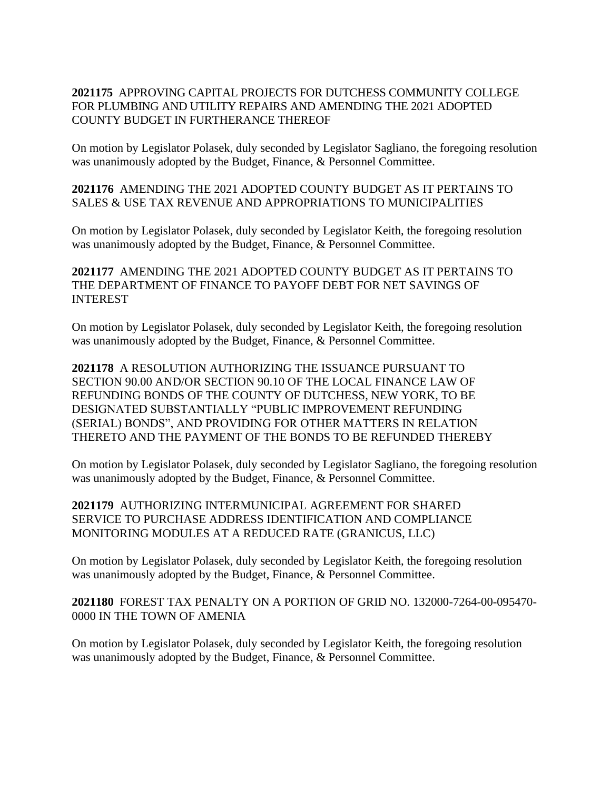# **2021175** APPROVING CAPITAL PROJECTS FOR DUTCHESS COMMUNITY COLLEGE FOR PLUMBING AND UTILITY REPAIRS AND AMENDING THE 2021 ADOPTED COUNTY BUDGET IN FURTHERANCE THEREOF

On motion by Legislator Polasek, duly seconded by Legislator Sagliano, the foregoing resolution was unanimously adopted by the Budget, Finance, & Personnel Committee.

## **2021176** AMENDING THE 2021 ADOPTED COUNTY BUDGET AS IT PERTAINS TO SALES & USE TAX REVENUE AND APPROPRIATIONS TO MUNICIPALITIES

On motion by Legislator Polasek, duly seconded by Legislator Keith, the foregoing resolution was unanimously adopted by the Budget, Finance, & Personnel Committee.

**2021177** AMENDING THE 2021 ADOPTED COUNTY BUDGET AS IT PERTAINS TO THE DEPARTMENT OF FINANCE TO PAYOFF DEBT FOR NET SAVINGS OF INTEREST

On motion by Legislator Polasek, duly seconded by Legislator Keith, the foregoing resolution was unanimously adopted by the Budget, Finance, & Personnel Committee.

**2021178** A RESOLUTION AUTHORIZING THE ISSUANCE PURSUANT TO SECTION 90.00 AND/OR SECTION 90.10 OF THE LOCAL FINANCE LAW OF REFUNDING BONDS OF THE COUNTY OF DUTCHESS, NEW YORK, TO BE DESIGNATED SUBSTANTIALLY "PUBLIC IMPROVEMENT REFUNDING (SERIAL) BONDS", AND PROVIDING FOR OTHER MATTERS IN RELATION THERETO AND THE PAYMENT OF THE BONDS TO BE REFUNDED THEREBY

On motion by Legislator Polasek, duly seconded by Legislator Sagliano, the foregoing resolution was unanimously adopted by the Budget, Finance, & Personnel Committee.

## **2021179** AUTHORIZING INTERMUNICIPAL AGREEMENT FOR SHARED SERVICE TO PURCHASE ADDRESS IDENTIFICATION AND COMPLIANCE MONITORING MODULES AT A REDUCED RATE (GRANICUS, LLC)

On motion by Legislator Polasek, duly seconded by Legislator Keith, the foregoing resolution was unanimously adopted by the Budget, Finance, & Personnel Committee.

## **2021180** FOREST TAX PENALTY ON A PORTION OF GRID NO. 132000-7264-00-095470- 0000 IN THE TOWN OF AMENIA

On motion by Legislator Polasek, duly seconded by Legislator Keith, the foregoing resolution was unanimously adopted by the Budget, Finance, & Personnel Committee.